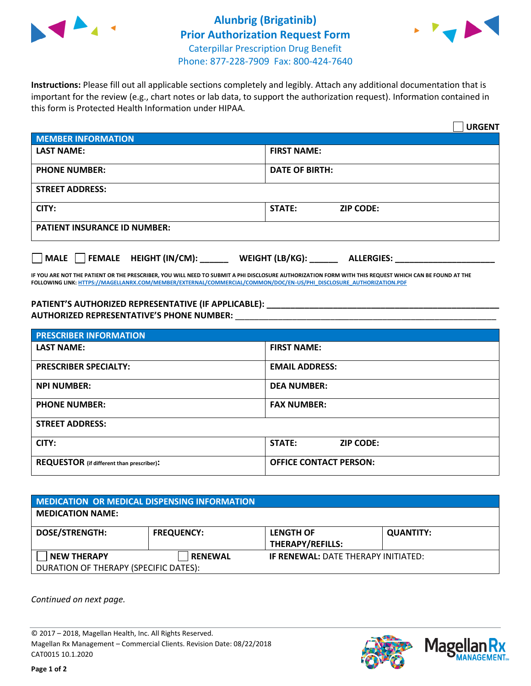



**Instructions:** Please fill out all applicable sections completely and legibly. Attach any additional documentation that is important for the review (e.g., chart notes or lab data, to support the authorization request). Information contained in this form is Protected Health Information under HIPAA.

|                                       | <b>URGENT</b>                        |  |  |  |
|---------------------------------------|--------------------------------------|--|--|--|
| <b>MEMBER INFORMATION</b>             |                                      |  |  |  |
| <b>LAST NAME:</b>                     | <b>FIRST NAME:</b>                   |  |  |  |
| <b>PHONE NUMBER:</b>                  | <b>DATE OF BIRTH:</b>                |  |  |  |
| <b>STREET ADDRESS:</b>                |                                      |  |  |  |
| CITY:                                 | STATE:<br><b>ZIP CODE:</b>           |  |  |  |
| <b>PATIENT INSURANCE ID NUMBER:</b>   |                                      |  |  |  |
| FEMALE HEIGHT (IN/CM):<br><b>MALE</b> | WEIGHT (LB/KG):<br><b>ALLERGIES:</b> |  |  |  |

**IF YOU ARE NOT THE PATIENT OR THE PRESCRIBER, YOU WILL NEED TO SUBMIT A PHI DISCLOSURE AUTHORIZATION FORM WITH THIS REQUEST WHICH CAN BE FOUND AT THE FOLLOWING LINK[: HTTPS://MAGELLANRX.COM/MEMBER/EXTERNAL/COMMERCIAL/COMMON/DOC/EN-US/PHI\\_DISCLOSURE\\_AUTHORIZATION.PDF](https://magellanrx.com/member/external/commercial/common/doc/en-us/PHI_Disclosure_Authorization.pdf)**

**PATIENT'S AUTHORIZED REPRESENTATIVE (IF APPLICABLE): \_\_\_\_\_\_\_\_\_\_\_\_\_\_\_\_\_\_\_\_\_\_\_\_\_\_\_\_\_\_\_\_\_\_\_\_\_\_\_\_\_\_\_\_\_\_\_\_\_ AUTHORIZED REPRESENTATIVE'S PHONE NUMBER:** \_\_\_\_\_\_\_\_\_\_\_\_\_\_\_\_\_\_\_\_\_\_\_\_\_\_\_\_\_\_\_\_\_\_\_\_\_\_\_\_\_\_\_\_\_\_\_\_\_\_\_\_\_\_\_

| <b>PRESCRIBER INFORMATION</b>             |                               |  |  |  |
|-------------------------------------------|-------------------------------|--|--|--|
| <b>LAST NAME:</b>                         | <b>FIRST NAME:</b>            |  |  |  |
| <b>PRESCRIBER SPECIALTY:</b>              | <b>EMAIL ADDRESS:</b>         |  |  |  |
| <b>NPI NUMBER:</b>                        | <b>DEA NUMBER:</b>            |  |  |  |
| <b>PHONE NUMBER:</b>                      | <b>FAX NUMBER:</b>            |  |  |  |
| <b>STREET ADDRESS:</b>                    |                               |  |  |  |
| CITY:                                     | STATE:<br><b>ZIP CODE:</b>    |  |  |  |
| REQUESTOR (if different than prescriber): | <b>OFFICE CONTACT PERSON:</b> |  |  |  |

| <b>MEDICATION OR MEDICAL DISPENSING INFORMATION</b> |                   |                                            |                  |  |  |
|-----------------------------------------------------|-------------------|--------------------------------------------|------------------|--|--|
| <b>MEDICATION NAME:</b>                             |                   |                                            |                  |  |  |
| <b>DOSE/STRENGTH:</b>                               | <b>FREQUENCY:</b> | <b>LENGTH OF</b>                           | <b>QUANTITY:</b> |  |  |
|                                                     |                   | <b>THERAPY/REFILLS:</b>                    |                  |  |  |
| <b>NEW THERAPY</b>                                  | <b>RENEWAL</b>    | <b>IF RENEWAL: DATE THERAPY INITIATED:</b> |                  |  |  |
| DURATION OF THERAPY (SPECIFIC DATES):               |                   |                                            |                  |  |  |

*Continued on next page.*

© 2017 – 2018, Magellan Health, Inc. All Rights Reserved. Magellan Rx Management – Commercial Clients. Revision Date: 08/22/2018 CAT0015 10.1.2020